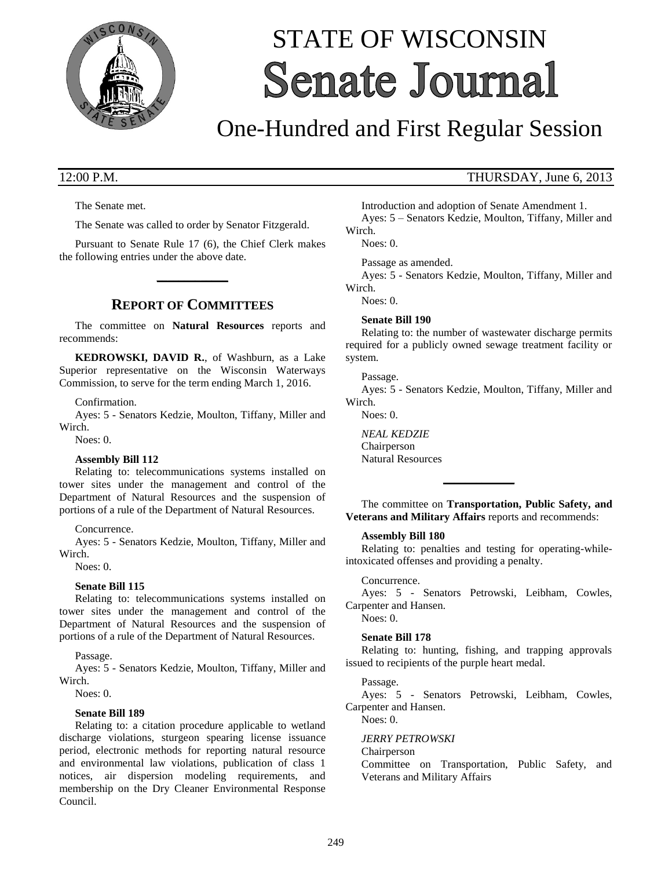

# STATE OF WISCONSIN **Senate Journal**

## One-Hundred and First Regular Session

The Senate met.

The Senate was called to order by Senator Fitzgerald.

Pursuant to Senate Rule 17 (6), the Chief Clerk makes the following entries under the above date.

**\_\_\_\_\_\_\_\_\_\_\_\_\_**

### **REPORT OF COMMITTEES**

The committee on **Natural Resources** reports and recommends:

**KEDROWSKI, DAVID R.**, of Washburn, as a Lake Superior representative on the Wisconsin Waterways Commission, to serve for the term ending March 1, 2016.

### Confirmation.

Ayes: 5 - Senators Kedzie, Moulton, Tiffany, Miller and Wirch.

Noes: 0.

### **Assembly Bill 112**

Relating to: telecommunications systems installed on tower sites under the management and control of the Department of Natural Resources and the suspension of portions of a rule of the Department of Natural Resources.

Concurrence.

Ayes: 5 - Senators Kedzie, Moulton, Tiffany, Miller and Wirch.

Noes: 0.

### **Senate Bill 115**

Relating to: telecommunications systems installed on tower sites under the management and control of the Department of Natural Resources and the suspension of portions of a rule of the Department of Natural Resources.

Passage.

Ayes: 5 - Senators Kedzie, Moulton, Tiffany, Miller and Wirch.

Noes: 0.

### **Senate Bill 189**

Relating to: a citation procedure applicable to wetland discharge violations, sturgeon spearing license issuance period, electronic methods for reporting natural resource and environmental law violations, publication of class 1 notices, air dispersion modeling requirements, and membership on the Dry Cleaner Environmental Response Council.

### 12:00 P.M. THURSDAY, June 6, 2013

Introduction and adoption of Senate Amendment 1. Ayes: 5 – Senators Kedzie, Moulton, Tiffany, Miller and Wirch.

Noes: 0.

Passage as amended.

Ayes: 5 - Senators Kedzie, Moulton, Tiffany, Miller and Wirch.

Noes: 0.

### **Senate Bill 190**

Relating to: the number of wastewater discharge permits required for a publicly owned sewage treatment facility or system.

#### Passage.

Ayes: 5 - Senators Kedzie, Moulton, Tiffany, Miller and Wirch.

Noes: 0.

*NEAL KEDZIE* Chairperson Natural Resources

The committee on **Transportation, Public Safety, and Veterans and Military Affairs** reports and recommends:

**\_\_\_\_\_\_\_\_\_\_\_\_\_**

### **Assembly Bill 180**

Relating to: penalties and testing for operating-whileintoxicated offenses and providing a penalty.

### Concurrence.

Ayes: 5 - Senators Petrowski, Leibham, Cowles, Carpenter and Hansen.

### Noes: 0.

### **Senate Bill 178**

Relating to: hunting, fishing, and trapping approvals issued to recipients of the purple heart medal.

### Passage.

Ayes: 5 - Senators Petrowski, Leibham, Cowles, Carpenter and Hansen.

Noes: 0.

### *JERRY PETROWSKI*

Chairperson

Committee on Transportation, Public Safety, and Veterans and Military Affairs